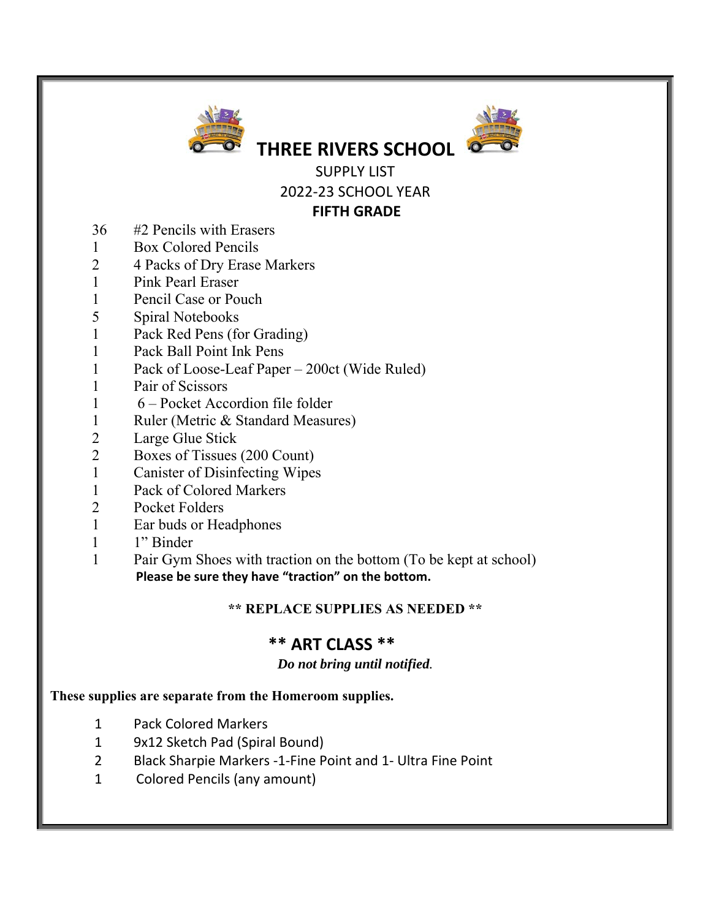



SUPPLY LIST 2022‐23 SCHOOL YEAR

**THREE RIVERS SCHOOL** 

### **FIFTH GRADE**

- 36 #2 Pencils with Erasers
- 1 Box Colored Pencils
- 2 4 Packs of Dry Erase Markers
- 1 Pink Pearl Eraser
- 1 Pencil Case or Pouch
- 5 Spiral Notebooks
- 1 Pack Red Pens (for Grading)
- 1 Pack Ball Point Ink Pens
- 1 Pack of Loose-Leaf Paper 200ct (Wide Ruled)
- 1 Pair of Scissors
- 1 6 Pocket Accordion file folder
- 1 Ruler (Metric & Standard Measures)
- 2 Large Glue Stick
- 2 Boxes of Tissues (200 Count)
- 1 Canister of Disinfecting Wipes
- 1 Pack of Colored Markers
- 2 Pocket Folders
- 1 Ear buds or Headphones
- 1 1" Binder
- 1 Pair Gym Shoes with traction on the bottom (To be kept at school)  **Please be sure they have "traction" on the bottom.**

## **\*\* REPLACE SUPPLIES AS NEEDED \*\***

# **\*\* ART CLASS \*\***

### *Do not bring until notified.*

### **These supplies are separate from the Homeroom supplies.**

- 1 Pack Colored Markers
- 1 9x12 Sketch Pad (Spiral Bound)
- 2 Black Sharpie Markers ‐1‐Fine Point and 1‐ Ultra Fine Point
- 1 Colored Pencils (any amount)